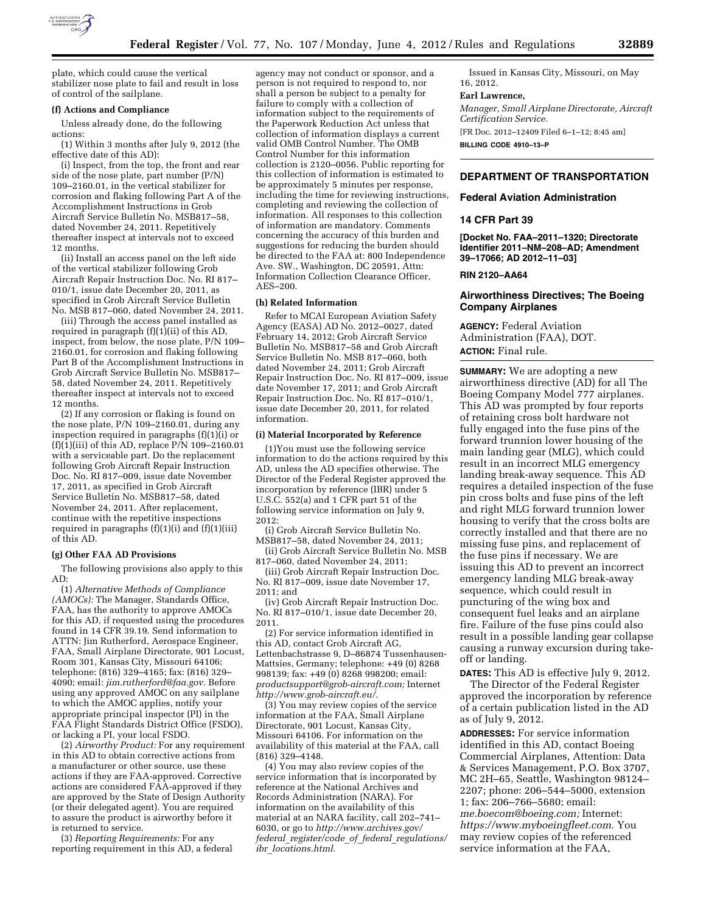

plate, which could cause the vertical stabilizer nose plate to fail and result in loss of control of the sailplane.

#### **(f) Actions and Compliance**

Unless already done, do the following actions:

(1) Within 3 months after July 9, 2012 (the effective date of this AD):

(i) Inspect, from the top, the front and rear side of the nose plate, part number (P/N) 109–2160.01, in the vertical stabilizer for corrosion and flaking following Part A of the Accomplishment Instructions in Grob Aircraft Service Bulletin No. MSB817–58, dated November 24, 2011. Repetitively thereafter inspect at intervals not to exceed 12 months.

(ii) Install an access panel on the left side of the vertical stabilizer following Grob Aircraft Repair Instruction Doc. No. RI 817– 010/1, issue date December 20, 2011, as specified in Grob Aircraft Service Bulletin No. MSB 817–060, dated November 24, 2011.

(iii) Through the access panel installed as required in paragraph (f)(1)(ii) of this AD, inspect, from below, the nose plate, P/N 109– 2160.01, for corrosion and flaking following Part B of the Accomplishment Instructions in Grob Aircraft Service Bulletin No. MSB817– 58, dated November 24, 2011. Repetitively thereafter inspect at intervals not to exceed 12 months.

(2) If any corrosion or flaking is found on the nose plate, P/N 109–2160.01, during any inspection required in paragraphs  $(f)(1)(i)$  or (f)(1)(iii) of this AD, replace P/N 109–2160.01 with a serviceable part. Do the replacement following Grob Aircraft Repair Instruction Doc. No. RI 817–009, issue date November 17, 2011, as specified in Grob Aircraft Service Bulletin No. MSB817–58, dated November 24, 2011. After replacement, continue with the repetitive inspections required in paragraphs (f)(1)(i) and (f)(1)(iii) of this AD.

### **(g) Other FAA AD Provisions**

The following provisions also apply to this AD:

(1) *Alternative Methods of Compliance (AMOCs):* The Manager, Standards Office, FAA, has the authority to approve AMOCs for this AD, if requested using the procedures found in 14 CFR 39.19. Send information to ATTN: Jim Rutherford, Aerospace Engineer, FAA, Small Airplane Directorate, 901 Locust, Room 301, Kansas City, Missouri 64106; telephone: (816) 329–4165; fax: (816) 329– 4090; email: *[jim.rutherford@faa.gov.](mailto:jim.rutherford@faa.gov)* Before using any approved AMOC on any sailplane to which the AMOC applies, notify your appropriate principal inspector (PI) in the FAA Flight Standards District Office (FSDO), or lacking a PI, your local FSDO.

(2) *Airworthy Product:* For any requirement in this AD to obtain corrective actions from a manufacturer or other source, use these actions if they are FAA-approved. Corrective actions are considered FAA-approved if they are approved by the State of Design Authority (or their delegated agent). You are required to assure the product is airworthy before it is returned to service.

(3) *Reporting Requirements:* For any reporting requirement in this AD, a federal

agency may not conduct or sponsor, and a person is not required to respond to, nor shall a person be subject to a penalty for failure to comply with a collection of information subject to the requirements of the Paperwork Reduction Act unless that collection of information displays a current valid OMB Control Number. The OMB Control Number for this information collection is 2120–0056. Public reporting for this collection of information is estimated to be approximately 5 minutes per response, including the time for reviewing instructions, completing and reviewing the collection of information. All responses to this collection of information are mandatory. Comments concerning the accuracy of this burden and suggestions for reducing the burden should be directed to the FAA at: 800 Independence Ave. SW., Washington, DC 20591, Attn: Information Collection Clearance Officer, AES–200.

#### **(h) Related Information**

Refer to MCAI European Aviation Safety Agency (EASA) AD  $\overrightarrow{No}$ . 2012–0027, dated February 14, 2012; Grob Aircraft Service Bulletin No. MSB817–58 and Grob Aircraft Service Bulletin No. MSB 817–060, both dated November 24, 2011; Grob Aircraft Repair Instruction Doc. No. RI 817–009, issue date November 17, 2011; and Grob Aircraft Repair Instruction Doc. No. RI 817–010/1, issue date December 20, 2011, for related information.

### **(i) Material Incorporated by Reference**

(1)You must use the following service information to do the actions required by this AD, unless the AD specifies otherwise. The Director of the Federal Register approved the incorporation by reference (IBR) under 5 U.S.C. 552(a) and 1 CFR part 51 of the following service information on July 9, 2012:

(i) Grob Aircraft Service Bulletin No. MSB817–58, dated November 24, 2011;

(ii) Grob Aircraft Service Bulletin No. MSB 817–060, dated November 24, 2011;

(iii) Grob Aircraft Repair Instruction Doc. No. RI 817–009, issue date November 17, 2011; and

(iv) Grob Aircraft Repair Instruction Doc. No. RI 817–010/1, issue date December 20, 2011.

(2) For service information identified in this AD, contact Grob Aircraft AG, Lettenbachstrasse 9, D–86874 Tussenhausen-Mattsies, Germany; telephone: +49 (0) 8268 998139; fax: +49 (0) 8268 998200; email: *[productsupport@grob-aircraft.com;](mailto:productsupport@grob-aircraft.com)* Internet *[http://www.grob-aircraft.eu/.](http://www.grob-aircraft.eu/)* 

(3) You may review copies of the service information at the FAA, Small Airplane Directorate, 901 Locust, Kansas City, Missouri 64106. For information on the availability of this material at the FAA, call (816) 329–4148.

(4) You may also review copies of the service information that is incorporated by reference at the National Archives and Records Administration (NARA). For information on the availability of this material at an NARA facility, call 202–741– 6030, or go to *[http://www.archives.gov/](http://www.archives.gov/federal_register/code_of_federal_regulations/ibr_locations.html)  federal*\_*[register/code](http://www.archives.gov/federal_register/code_of_federal_regulations/ibr_locations.html)*\_*of*\_*federal*\_*regulations/ ibr*\_*[locations.html.](http://www.archives.gov/federal_register/code_of_federal_regulations/ibr_locations.html)* 

Issued in Kansas City, Missouri, on May 16, 2012.

### **Earl Lawrence,**

*Manager, Small Airplane Directorate, Aircraft Certification Service.* 

[FR Doc. 2012–12409 Filed 6–1–12; 8:45 am] **BILLING CODE 4910–13–P** 

## **DEPARTMENT OF TRANSPORTATION**

#### **Federal Aviation Administration**

### **14 CFR Part 39**

**[Docket No. FAA–2011–1320; Directorate Identifier 2011–NM–208–AD; Amendment 39–17066; AD 2012–11–03]** 

#### **RIN 2120–AA64**

## **Airworthiness Directives; The Boeing Company Airplanes**

**AGENCY:** Federal Aviation Administration (FAA), DOT. **ACTION:** Final rule.

**SUMMARY:** We are adopting a new airworthiness directive (AD) for all The Boeing Company Model 777 airplanes. This AD was prompted by four reports of retaining cross bolt hardware not fully engaged into the fuse pins of the forward trunnion lower housing of the main landing gear (MLG), which could result in an incorrect MLG emergency landing break-away sequence. This AD requires a detailed inspection of the fuse pin cross bolts and fuse pins of the left and right MLG forward trunnion lower housing to verify that the cross bolts are correctly installed and that there are no missing fuse pins, and replacement of the fuse pins if necessary. We are issuing this AD to prevent an incorrect emergency landing MLG break-away sequence, which could result in puncturing of the wing box and consequent fuel leaks and an airplane fire. Failure of the fuse pins could also result in a possible landing gear collapse causing a runway excursion during takeoff or landing.

**DATES:** This AD is effective July 9, 2012.

The Director of the Federal Register approved the incorporation by reference of a certain publication listed in the AD as of July 9, 2012.

**ADDRESSES:** For service information identified in this AD, contact Boeing Commercial Airplanes, Attention: Data & Services Management, P.O. Box 3707, MC 2H–65, Seattle, Washington 98124– 2207; phone: 206–544–5000, extension 1; fax: 206–766–5680; email: *[me.boecom@boeing.com;](mailto:me.boecom@boeing.com)* Internet: *[https://www.myboeingfleet.com.](https://www.myboeingfleet.com)* You may review copies of the referenced service information at the FAA,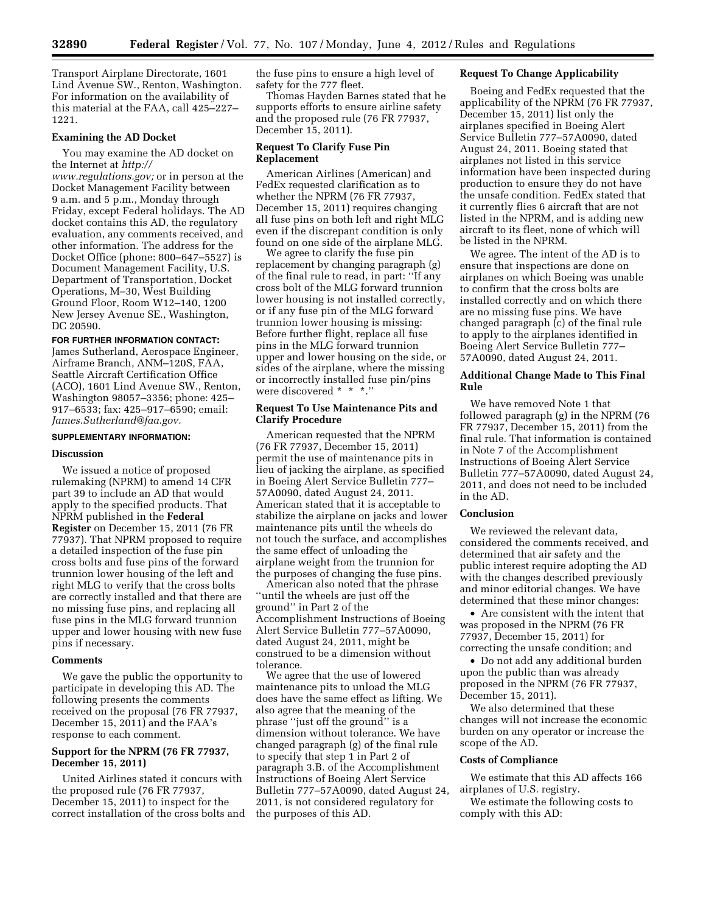Transport Airplane Directorate, 1601 Lind Avenue SW., Renton, Washington. For information on the availability of this material at the FAA, call 425–227– 1221.

## **Examining the AD Docket**

You may examine the AD docket on the Internet at *[http://](http://www.regulations.gov)* 

*[www.regulations.gov;](http://www.regulations.gov)* or in person at the Docket Management Facility between 9 a.m. and 5 p.m., Monday through Friday, except Federal holidays. The AD docket contains this AD, the regulatory evaluation, any comments received, and other information. The address for the Docket Office (phone: 800–647–5527) is Document Management Facility, U.S. Department of Transportation, Docket Operations, M–30, West Building Ground Floor, Room W12–140, 1200 New Jersey Avenue SE., Washington, DC 20590.

### **FOR FURTHER INFORMATION CONTACT:**

James Sutherland, Aerospace Engineer, Airframe Branch, ANM–120S, FAA, Seattle Aircraft Certification Office (ACO), 1601 Lind Avenue SW., Renton, Washington 98057–3356; phone: 425– 917–6533; fax: 425–917–6590; email: *[James.Sutherland@faa.gov.](mailto:James.Sutherland@faa.gov)* 

# **SUPPLEMENTARY INFORMATION:**

### **Discussion**

We issued a notice of proposed rulemaking (NPRM) to amend 14 CFR part 39 to include an AD that would apply to the specified products. That NPRM published in the **Federal Register** on December 15, 2011 (76 FR 77937). That NPRM proposed to require a detailed inspection of the fuse pin cross bolts and fuse pins of the forward trunnion lower housing of the left and right MLG to verify that the cross bolts are correctly installed and that there are no missing fuse pins, and replacing all fuse pins in the MLG forward trunnion upper and lower housing with new fuse pins if necessary.

### **Comments**

We gave the public the opportunity to participate in developing this AD. The following presents the comments received on the proposal (76 FR 77937, December 15, 2011) and the FAA's response to each comment.

## **Support for the NPRM (76 FR 77937, December 15, 2011)**

United Airlines stated it concurs with the proposed rule (76 FR 77937, December 15, 2011) to inspect for the correct installation of the cross bolts and the fuse pins to ensure a high level of safety for the 777 fleet.

Thomas Hayden Barnes stated that he supports efforts to ensure airline safety and the proposed rule (76 FR 77937, December 15, 2011).

## **Request To Clarify Fuse Pin Replacement**

American Airlines (American) and FedEx requested clarification as to whether the NPRM (76 FR 77937, December 15, 2011) requires changing all fuse pins on both left and right MLG even if the discrepant condition is only found on one side of the airplane MLG.

We agree to clarify the fuse pin replacement by changing paragraph (g) of the final rule to read, in part: ''If any cross bolt of the MLG forward trunnion lower housing is not installed correctly, or if any fuse pin of the MLG forward trunnion lower housing is missing: Before further flight, replace all fuse pins in the MLG forward trunnion upper and lower housing on the side, or sides of the airplane, where the missing or incorrectly installed fuse pin/pins were discovered \* \* \*.''

# **Request To Use Maintenance Pits and Clarify Procedure**

American requested that the NPRM (76 FR 77937, December 15, 2011) permit the use of maintenance pits in lieu of jacking the airplane, as specified in Boeing Alert Service Bulletin 777– 57A0090, dated August 24, 2011. American stated that it is acceptable to stabilize the airplane on jacks and lower maintenance pits until the wheels do not touch the surface, and accomplishes the same effect of unloading the airplane weight from the trunnion for the purposes of changing the fuse pins.

American also noted that the phrase ''until the wheels are just off the ground'' in Part 2 of the Accomplishment Instructions of Boeing Alert Service Bulletin 777–57A0090, dated August 24, 2011, might be construed to be a dimension without tolerance.

We agree that the use of lowered maintenance pits to unload the MLG does have the same effect as lifting. We also agree that the meaning of the phrase ''just off the ground'' is a dimension without tolerance. We have changed paragraph (g) of the final rule to specify that step 1 in Part 2 of paragraph 3.B. of the Accomplishment Instructions of Boeing Alert Service Bulletin 777–57A0090, dated August 24, 2011, is not considered regulatory for the purposes of this AD.

## **Request To Change Applicability**

Boeing and FedEx requested that the applicability of the NPRM (76 FR 77937, December 15, 2011) list only the airplanes specified in Boeing Alert Service Bulletin 777–57A0090, dated August 24, 2011. Boeing stated that airplanes not listed in this service information have been inspected during production to ensure they do not have the unsafe condition. FedEx stated that it currently flies 6 aircraft that are not listed in the NPRM, and is adding new aircraft to its fleet, none of which will be listed in the NPRM.

We agree. The intent of the AD is to ensure that inspections are done on airplanes on which Boeing was unable to confirm that the cross bolts are installed correctly and on which there are no missing fuse pins. We have changed paragraph (c) of the final rule to apply to the airplanes identified in Boeing Alert Service Bulletin 777– 57A0090, dated August 24, 2011.

## **Additional Change Made to This Final Rule**

We have removed Note 1 that followed paragraph (g) in the NPRM (76 FR 77937, December 15, 2011) from the final rule. That information is contained in Note 7 of the Accomplishment Instructions of Boeing Alert Service Bulletin 777–57A0090, dated August 24, 2011, and does not need to be included in the AD.

# **Conclusion**

We reviewed the relevant data, considered the comments received, and determined that air safety and the public interest require adopting the AD with the changes described previously and minor editorial changes. We have determined that these minor changes:

• Are consistent with the intent that was proposed in the NPRM (76 FR 77937, December 15, 2011) for correcting the unsafe condition; and

• Do not add any additional burden upon the public than was already proposed in the NPRM (76 FR 77937, December 15, 2011).

We also determined that these changes will not increase the economic burden on any operator or increase the scope of the AD.

## **Costs of Compliance**

We estimate that this AD affects 166 airplanes of U.S. registry.

We estimate the following costs to comply with this AD: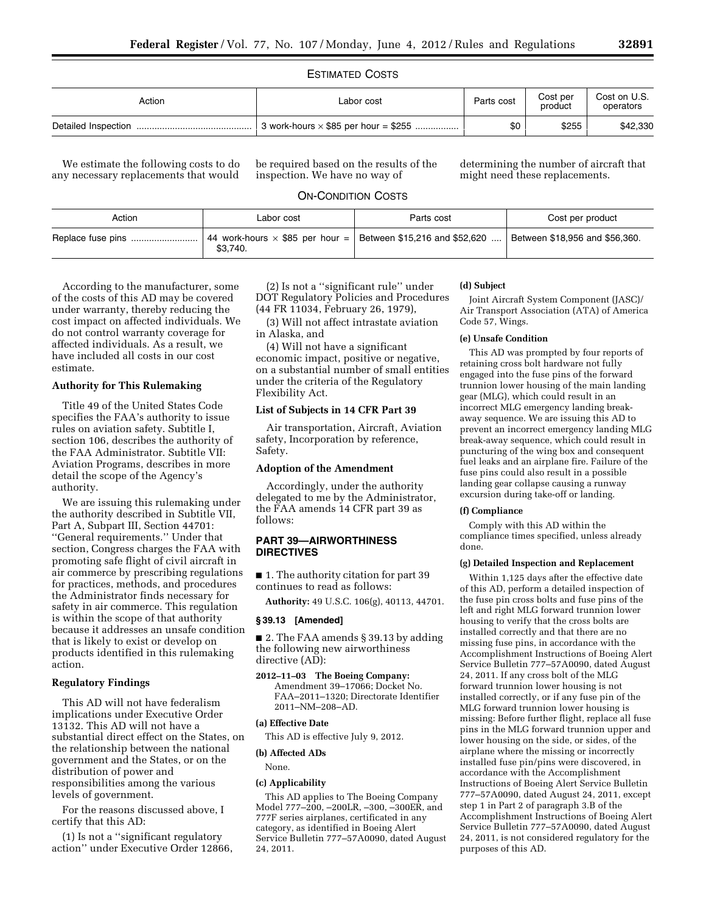## ESTIMATED COSTS

| Action | Labor cost                                  | Parts cost | Cost per<br>product | Cost on U.S.<br>operators |
|--------|---------------------------------------------|------------|---------------------|---------------------------|
|        | 3 work-hours $\times$ \$85 per hour = \$255 | \$0        | \$255               | \$42,330                  |

We estimate the following costs to do any necessary replacements that would

be required based on the results of the inspection. We have no way of

determining the number of aircraft that might need these replacements.

# ON-CONDITION COSTS

| Action | Labor cost                                                                         | Parts cost | Cost per product               |
|--------|------------------------------------------------------------------------------------|------------|--------------------------------|
|        | 44 work-hours $\times$ \$85 per hour =   Between \$15,216 and \$52,620<br>\$3.740. |            | Between \$18,956 and \$56,360. |

According to the manufacturer, some of the costs of this AD may be covered under warranty, thereby reducing the cost impact on affected individuals. We do not control warranty coverage for affected individuals. As a result, we have included all costs in our cost estimate.

# **Authority for This Rulemaking**

Title 49 of the United States Code specifies the FAA's authority to issue rules on aviation safety. Subtitle I, section 106, describes the authority of the FAA Administrator. Subtitle VII: Aviation Programs, describes in more detail the scope of the Agency's authority.

We are issuing this rulemaking under the authority described in Subtitle VII, Part A, Subpart III, Section 44701: ''General requirements.'' Under that section, Congress charges the FAA with promoting safe flight of civil aircraft in air commerce by prescribing regulations for practices, methods, and procedures the Administrator finds necessary for safety in air commerce. This regulation is within the scope of that authority because it addresses an unsafe condition that is likely to exist or develop on products identified in this rulemaking action.

## **Regulatory Findings**

This AD will not have federalism implications under Executive Order 13132. This AD will not have a substantial direct effect on the States, on the relationship between the national government and the States, or on the distribution of power and responsibilities among the various levels of government.

For the reasons discussed above, I certify that this AD:

(1) Is not a ''significant regulatory action'' under Executive Order 12866,

(2) Is not a ''significant rule'' under DOT Regulatory Policies and Procedures (44 FR 11034, February 26, 1979),

(3) Will not affect intrastate aviation in Alaska, and

(4) Will not have a significant economic impact, positive or negative, on a substantial number of small entities under the criteria of the Regulatory Flexibility Act.

# **List of Subjects in 14 CFR Part 39**

Air transportation, Aircraft, Aviation safety, Incorporation by reference, Safety.

### **Adoption of the Amendment**

Accordingly, under the authority delegated to me by the Administrator, the FAA amends 14 CFR part 39 as follows:

## **PART 39—AIRWORTHINESS DIRECTIVES**

■ 1. The authority citation for part 39 continues to read as follows:

**Authority:** 49 U.S.C. 106(g), 40113, 44701.

## **§ 39.13 [Amended]**

■ 2. The FAA amends § 39.13 by adding the following new airworthiness directive (AD):

**2012–11–03 The Boeing Company:**  Amendment 39–17066; Docket No. FAA–2011–1320; Directorate Identifier 2011–NM–208–AD.

## **(a) Effective Date**

This AD is effective July 9, 2012.

## **(b) Affected ADs**

None.

# **(c) Applicability**

This AD applies to The Boeing Company Model 777–200, –200LR, –300, –300ER, and 777F series airplanes, certificated in any category, as identified in Boeing Alert Service Bulletin 777–57A0090, dated August 24, 2011.

### **(d) Subject**

Joint Aircraft System Component (JASC)/ Air Transport Association (ATA) of America Code 57, Wings.

## **(e) Unsafe Condition**

This AD was prompted by four reports of retaining cross bolt hardware not fully engaged into the fuse pins of the forward trunnion lower housing of the main landing gear (MLG), which could result in an incorrect MLG emergency landing breakaway sequence. We are issuing this AD to prevent an incorrect emergency landing MLG break-away sequence, which could result in puncturing of the wing box and consequent fuel leaks and an airplane fire. Failure of the fuse pins could also result in a possible landing gear collapse causing a runway excursion during take-off or landing.

## **(f) Compliance**

Comply with this AD within the compliance times specified, unless already done.

## **(g) Detailed Inspection and Replacement**

Within 1,125 days after the effective date of this AD, perform a detailed inspection of the fuse pin cross bolts and fuse pins of the left and right MLG forward trunnion lower housing to verify that the cross bolts are installed correctly and that there are no missing fuse pins, in accordance with the Accomplishment Instructions of Boeing Alert Service Bulletin 777–57A0090, dated August 24, 2011. If any cross bolt of the MLG forward trunnion lower housing is not installed correctly, or if any fuse pin of the MLG forward trunnion lower housing is missing: Before further flight, replace all fuse pins in the MLG forward trunnion upper and lower housing on the side, or sides, of the airplane where the missing or incorrectly installed fuse pin/pins were discovered, in accordance with the Accomplishment Instructions of Boeing Alert Service Bulletin 777–57A0090, dated August 24, 2011, except step 1 in Part 2 of paragraph 3.B of the Accomplishment Instructions of Boeing Alert Service Bulletin 777–57A0090, dated August 24, 2011, is not considered regulatory for the purposes of this AD.